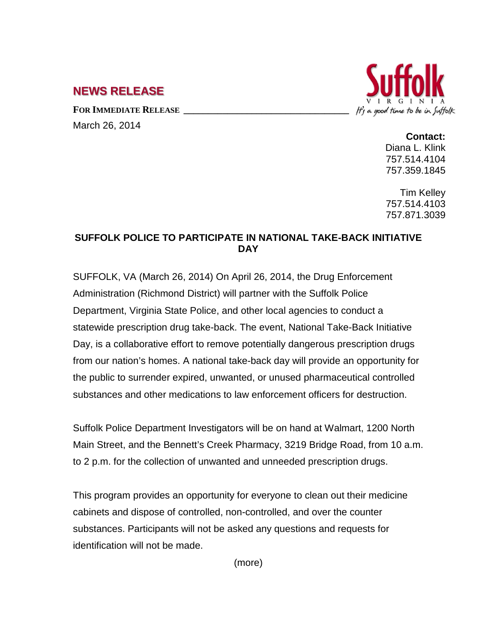## **NEWS RELEASE**

FOR **IMMEDIATE RELEASE** March 26, 2014



**Contact:**

Diana L. Klink 757.514.4104 757.359.1845

Tim Kelley 757.514.4103 757.871.3039

## **SUFFOLK POLICE TO PARTICIPATE IN NATIONAL TAKE-BACK INITIATIVE DAY**

SUFFOLK, VA (March 26, 2014) On April 26, 2014, the Drug Enforcement Administration (Richmond District) will partner with the Suffolk Police Department, Virginia State Police, and other local agencies to conduct a statewide prescription drug take-back. The event, National Take-Back Initiative Day, is a collaborative effort to remove potentially dangerous prescription drugs from our nation's homes. A national take-back day will provide an opportunity for the public to surrender expired, unwanted, or unused pharmaceutical controlled substances and other medications to law enforcement officers for destruction.

Suffolk Police Department Investigators will be on hand at Walmart, 1200 North Main Street, and the Bennett's Creek Pharmacy, 3219 Bridge Road, from 10 a.m. to 2 p.m. for the collection of unwanted and unneeded prescription drugs.

This program provides an opportunity for everyone to clean out their medicine cabinets and dispose of controlled, non-controlled, and over the counter substances. Participants will not be asked any questions and requests for identification will not be made.

(more)